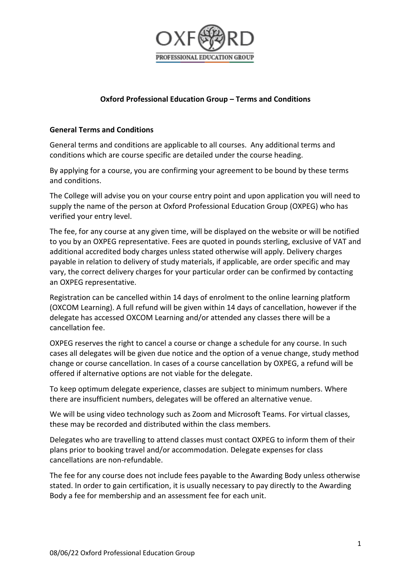

# **Oxford Professional Education Group – Terms and Conditions**

### **General Terms and Conditions**

General terms and conditions are applicable to all courses. Any additional terms and conditions which are course specific are detailed under the course heading.

By applying for a course, you are confirming your agreement to be bound by these terms and conditions.

The College will advise you on your course entry point and upon application you will need to supply the name of the person at Oxford Professional Education Group (OXPEG) who has verified your entry level.

The fee, for any course at any given time, will be displayed on the website or will be notified to you by an OXPEG representative. Fees are quoted in pounds sterling, exclusive of VAT and additional accredited body charges unless stated otherwise will apply. Delivery charges payable in relation to delivery of study materials, if applicable, are order specific and may vary, the correct delivery charges for your particular order can be confirmed by contacting an OXPEG representative.

Registration can be cancelled within 14 days of enrolment to the online learning platform (OXCOM Learning). A full refund will be given within 14 days of cancellation, however if the delegate has accessed OXCOM Learning and/or attended any classes there will be a cancellation fee.

OXPEG reserves the right to cancel a course or change a schedule for any course. In such cases all delegates will be given due notice and the option of a venue change, study method change or course cancellation. In cases of a course cancellation by OXPEG, a refund will be offered if alternative options are not viable for the delegate.

To keep optimum delegate experience, classes are subject to minimum numbers. Where there are insufficient numbers, delegates will be offered an alternative venue.

We will be using video technology such as Zoom and Microsoft Teams. For virtual classes, these may be recorded and distributed within the class members.

Delegates who are travelling to attend classes must contact OXPEG to inform them of their plans prior to booking travel and/or accommodation. Delegate expenses for class cancellations are non-refundable.

The fee for any course does not include fees payable to the Awarding Body unless otherwise stated. In order to gain certification, it is usually necessary to pay directly to the Awarding Body a fee for membership and an assessment fee for each unit.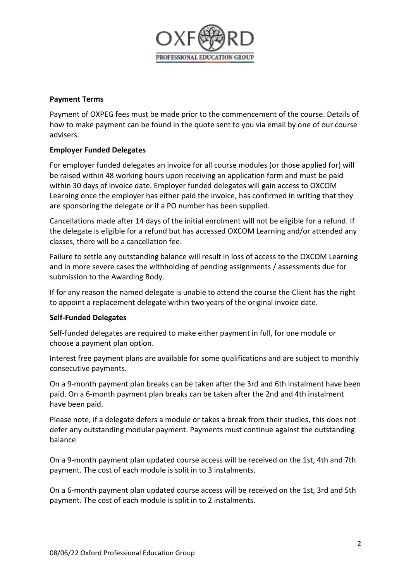

### **Payment Terms**

Payment of OXPEG fees must be made prior to the commencement of the course. Details of how to make payment can be found in the quote sent to you via email by one of our course advisers.

### **Employer Funded Delegates**

For employer funded delegates an invoice for all course modules (or those applied for) will be raised within 48 working hours upon receiving an application form and must be paid within 30 days of invoice date. Employer funded delegates will gain access to OXCOM Learning once the employer has either paid the invoice, has confirmed in writing that they are sponsoring the delegate or if a PO number has been supplied.

Cancellations made after 14 days of the initial enrolment will not be eligible for a refund. If the delegate is eligible for a refund but has accessed OXCOM Learning and/or attended any classes, there will be a cancellation fee.

Failure to settle any outstanding balance will result in loss of access to the OXCOM Learning and in more severe cases the withholding of pending assignments / assessments due for submission to the Awarding Body.

If for any reason the named delegate is unable to attend the course the Client has the right to appoint a replacement delegate within two years of the original invoice date.

### **Self-Funded Delegates**

Self-funded delegates are required to make either payment in full, for one module or choose a payment plan option.

Interest free payment plans are available for some qualifications and are subject to monthly consecutive payments.

On a 9-month payment plan breaks can be taken after the 3rd and 6th instalment have been paid. On a 6-month payment plan breaks can be taken after the 2nd and 4th instalment have been paid.

Please note, if a delegate defers a module or takes a break from their studies, this does not defer any outstanding modular payment. Payments must continue against the outstanding balance.

On a 9-month payment plan updated course access will be received on the 1st, 4th and 7th payment. The cost of each module is split in to 3 instalments.

On a 6-month payment plan updated course access will be received on the 1st, 3rd and 5th payment. The cost of each module is split in to 2 instalments.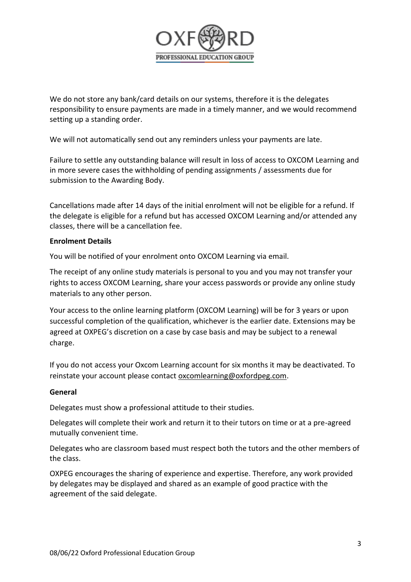

We do not store any bank/card details on our systems, therefore it is the delegates responsibility to ensure payments are made in a timely manner, and we would recommend setting up a standing order.

We will not automatically send out any reminders unless your payments are late.

Failure to settle any outstanding balance will result in loss of access to OXCOM Learning and in more severe cases the withholding of pending assignments / assessments due for submission to the Awarding Body.

Cancellations made after 14 days of the initial enrolment will not be eligible for a refund. If the delegate is eligible for a refund but has accessed OXCOM Learning and/or attended any classes, there will be a cancellation fee.

### **Enrolment Details**

You will be notified of your enrolment onto OXCOM Learning via email.

The receipt of any online study materials is personal to you and you may not transfer your rights to access OXCOM Learning, share your access passwords or provide any online study materials to any other person.

Your access to the online learning platform (OXCOM Learning) will be for 3 years or upon successful completion of the qualification, whichever is the earlier date. Extensions may be agreed at OXPEG's discretion on a case by case basis and may be subject to a renewal charge.

If you do not access your Oxcom Learning account for six months it may be deactivated. To reinstate your account please contact [oxcomlearning@oxfordpeg.com.](mailto:oxcomlearning@oxfordpeg.com)

### **General**

Delegates must show a professional attitude to their studies.

Delegates will complete their work and return it to their tutors on time or at a pre-agreed mutually convenient time.

Delegates who are classroom based must respect both the tutors and the other members of the class.

OXPEG encourages the sharing of experience and expertise. Therefore, any work provided by delegates may be displayed and shared as an example of good practice with the agreement of the said delegate.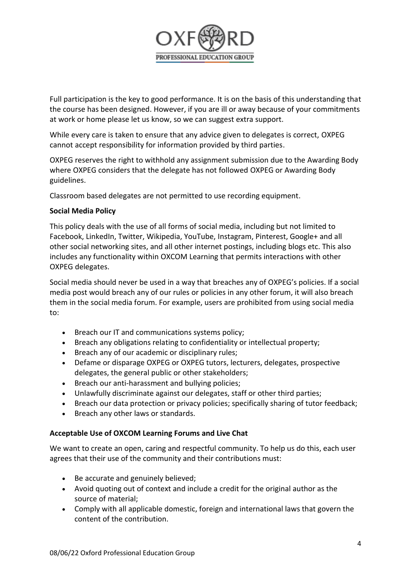

Full participation is the key to good performance. It is on the basis of this understanding that the course has been designed. However, if you are ill or away because of your commitments at work or home please let us know, so we can suggest extra support.

While every care is taken to ensure that any advice given to delegates is correct, OXPEG cannot accept responsibility for information provided by third parties.

OXPEG reserves the right to withhold any assignment submission due to the Awarding Body where OXPEG considers that the delegate has not followed OXPEG or Awarding Body guidelines.

Classroom based delegates are not permitted to use recording equipment.

# **Social Media Policy**

This policy deals with the use of all forms of social media, including but not limited to Facebook, LinkedIn, Twitter, Wikipedia, YouTube, Instagram, Pinterest, Google+ and all other social networking sites, and all other internet postings, including blogs etc. This also includes any functionality within OXCOM Learning that permits interactions with other OXPEG delegates.

Social media should never be used in a way that breaches any of OXPEG's policies. If a social media post would breach any of our rules or policies in any other forum, it will also breach them in the social media forum. For example, users are prohibited from using social media to:

- Breach our IT and communications systems policy;
- Breach any obligations relating to confidentiality or intellectual property;
- Breach any of our academic or disciplinary rules;
- Defame or disparage OXPEG or OXPEG tutors, lecturers, delegates, prospective delegates, the general public or other stakeholders;
- Breach our anti-harassment and bullying policies;
- Unlawfully discriminate against our delegates, staff or other third parties;
- Breach our data protection or privacy policies; specifically sharing of tutor feedback;
- Breach any other laws or standards.

### **Acceptable Use of OXCOM Learning Forums and Live Chat**

We want to create an open, caring and respectful community. To help us do this, each user agrees that their use of the community and their contributions must:

- Be accurate and genuinely believed;
- Avoid quoting out of context and include a credit for the original author as the source of material;
- Comply with all applicable domestic, foreign and international laws that govern the content of the contribution.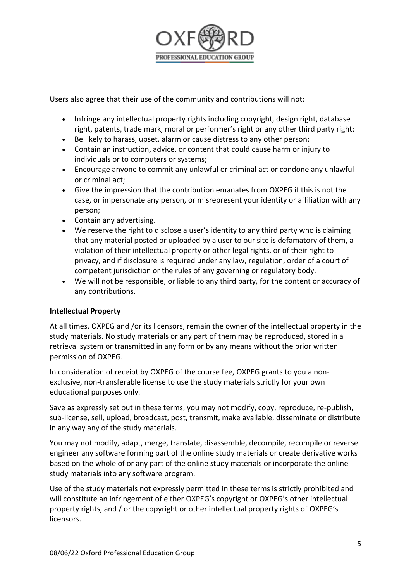

Users also agree that their use of the community and contributions will not:

- Infringe any intellectual property rights including copyright, design right, database right, patents, trade mark, moral or performer's right or any other third party right;
- Be likely to harass, upset, alarm or cause distress to any other person;
- Contain an instruction, advice, or content that could cause harm or injury to individuals or to computers or systems;
- Encourage anyone to commit any unlawful or criminal act or condone any unlawful or criminal act;
- Give the impression that the contribution emanates from OXPEG if this is not the case, or impersonate any person, or misrepresent your identity or affiliation with any person;
- Contain any advertising.
- We reserve the right to disclose a user's identity to any third party who is claiming that any material posted or uploaded by a user to our site is defamatory of them, a violation of their intellectual property or other legal rights, or of their right to privacy, and if disclosure is required under any law, regulation, order of a court of competent jurisdiction or the rules of any governing or regulatory body.
- We will not be responsible, or liable to any third party, for the content or accuracy of any contributions.

# **Intellectual Property**

At all times, OXPEG and /or its licensors, remain the owner of the intellectual property in the study materials. No study materials or any part of them may be reproduced, stored in a retrieval system or transmitted in any form or by any means without the prior written permission of OXPEG.

In consideration of receipt by OXPEG of the course fee, OXPEG grants to you a nonexclusive, non-transferable license to use the study materials strictly for your own educational purposes only.

Save as expressly set out in these terms, you may not modify, copy, reproduce, re-publish, sub-license, sell, upload, broadcast, post, transmit, make available, disseminate or distribute in any way any of the study materials.

You may not modify, adapt, merge, translate, disassemble, decompile, recompile or reverse engineer any software forming part of the online study materials or create derivative works based on the whole of or any part of the online study materials or incorporate the online study materials into any software program.

Use of the study materials not expressly permitted in these terms is strictly prohibited and will constitute an infringement of either OXPEG's copyright or OXPEG's other intellectual property rights, and / or the copyright or other intellectual property rights of OXPEG's licensors.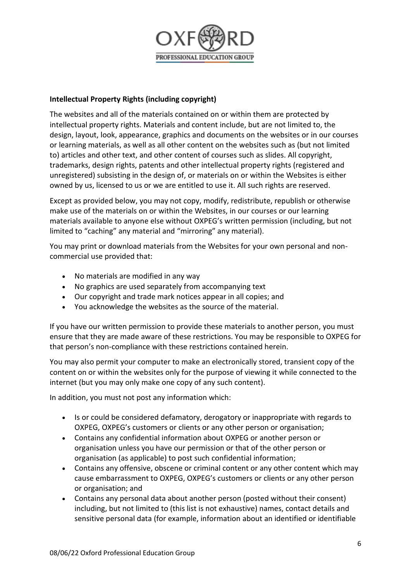

# **Intellectual Property Rights (including copyright)**

The websites and all of the materials contained on or within them are protected by intellectual property rights. Materials and content include, but are not limited to, the design, layout, look, appearance, graphics and documents on the websites or in our courses or learning materials, as well as all other content on the websites such as (but not limited to) articles and other text, and other content of courses such as slides. All copyright, trademarks, design rights, patents and other intellectual property rights (registered and unregistered) subsisting in the design of, or materials on or within the Websites is either owned by us, licensed to us or we are entitled to use it. All such rights are reserved.

Except as provided below, you may not copy, modify, redistribute, republish or otherwise make use of the materials on or within the Websites, in our courses or our learning materials available to anyone else without OXPEG's written permission (including, but not limited to "caching" any material and "mirroring" any material).

You may print or download materials from the Websites for your own personal and noncommercial use provided that:

- No materials are modified in any way
- No graphics are used separately from accompanying text
- Our copyright and trade mark notices appear in all copies; and
- You acknowledge the websites as the source of the material.

If you have our written permission to provide these materials to another person, you must ensure that they are made aware of these restrictions. You may be responsible to OXPEG for that person's non-compliance with these restrictions contained herein.

You may also permit your computer to make an electronically stored, transient copy of the content on or within the websites only for the purpose of viewing it while connected to the internet (but you may only make one copy of any such content).

In addition, you must not post any information which:

- Is or could be considered defamatory, derogatory or inappropriate with regards to OXPEG, OXPEG's customers or clients or any other person or organisation;
- Contains any confidential information about OXPEG or another person or organisation unless you have our permission or that of the other person or organisation (as applicable) to post such confidential information;
- Contains any offensive, obscene or criminal content or any other content which may cause embarrassment to OXPEG, OXPEG's customers or clients or any other person or organisation; and
- Contains any personal data about another person (posted without their consent) including, but not limited to (this list is not exhaustive) names, contact details and sensitive personal data (for example, information about an identified or identifiable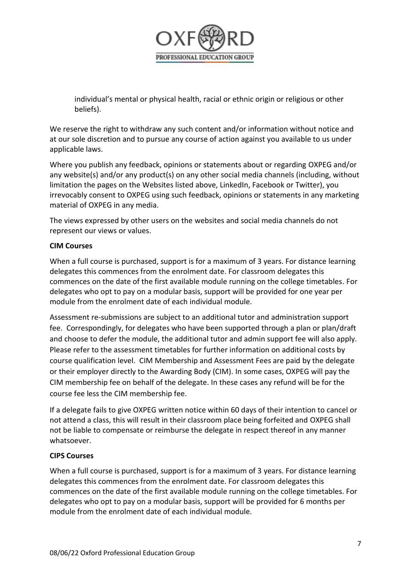

individual's mental or physical health, racial or ethnic origin or religious or other beliefs).

We reserve the right to withdraw any such content and/or information without notice and at our sole discretion and to pursue any course of action against you available to us under applicable laws.

Where you publish any feedback, opinions or statements about or regarding OXPEG and/or any website(s) and/or any product(s) on any other social media channels (including, without limitation the pages on the Websites listed above, LinkedIn, Facebook or Twitter), you irrevocably consent to OXPEG using such feedback, opinions or statements in any marketing material of OXPEG in any media.

The views expressed by other users on the websites and social media channels do not represent our views or values.

# **CIM Courses**

When a full course is purchased, support is for a maximum of 3 years. For distance learning delegates this commences from the enrolment date. For classroom delegates this commences on the date of the first available module running on the college timetables. For delegates who opt to pay on a modular basis, support will be provided for one year per module from the enrolment date of each individual module.

Assessment re-submissions are subject to an additional tutor and administration support fee. Correspondingly, for delegates who have been supported through a plan or plan/draft and choose to defer the module, the additional tutor and admin support fee will also apply. Please refer to the assessment timetables for further information on additional costs by course qualification level. CIM Membership and Assessment Fees are paid by the delegate or their employer directly to the Awarding Body (CIM). In some cases, OXPEG will pay the CIM membership fee on behalf of the delegate. In these cases any refund will be for the course fee less the CIM membership fee.

If a delegate fails to give OXPEG written notice within 60 days of their intention to cancel or not attend a class, this will result in their classroom place being forfeited and OXPEG shall not be liable to compensate or reimburse the delegate in respect thereof in any manner whatsoever.

# **CIPS Courses**

When a full course is purchased, support is for a maximum of 3 years. For distance learning delegates this commences from the enrolment date. For classroom delegates this commences on the date of the first available module running on the college timetables. For delegates who opt to pay on a modular basis, support will be provided for 6 months per module from the enrolment date of each individual module.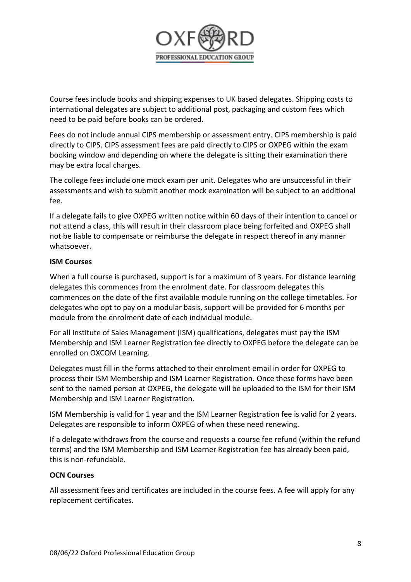

Course fees include books and shipping expenses to UK based delegates. Shipping costs to international delegates are subject to additional post, packaging and custom fees which need to be paid before books can be ordered.

Fees do not include annual CIPS membership or assessment entry. CIPS membership is paid directly to CIPS. CIPS assessment fees are paid directly to CIPS or OXPEG within the exam booking window and depending on where the delegate is sitting their examination there may be extra local charges.

The college fees include one mock exam per unit. Delegates who are unsuccessful in their assessments and wish to submit another mock examination will be subject to an additional fee.

If a delegate fails to give OXPEG written notice within 60 days of their intention to cancel or not attend a class, this will result in their classroom place being forfeited and OXPEG shall not be liable to compensate or reimburse the delegate in respect thereof in any manner whatsoever.

# **ISM Courses**

When a full course is purchased, support is for a maximum of 3 years. For distance learning delegates this commences from the enrolment date. For classroom delegates this commences on the date of the first available module running on the college timetables. For delegates who opt to pay on a modular basis, support will be provided for 6 months per module from the enrolment date of each individual module.

For all Institute of Sales Management (ISM) qualifications, delegates must pay the ISM Membership and ISM Learner Registration fee directly to OXPEG before the delegate can be enrolled on OXCOM Learning.

Delegates must fill in the forms attached to their enrolment email in order for OXPEG to process their ISM Membership and ISM Learner Registration. Once these forms have been sent to the named person at OXPEG, the delegate will be uploaded to the ISM for their ISM Membership and ISM Learner Registration.

ISM Membership is valid for 1 year and the ISM Learner Registration fee is valid for 2 years. Delegates are responsible to inform OXPEG of when these need renewing.

If a delegate withdraws from the course and requests a course fee refund (within the refund terms) and the ISM Membership and ISM Learner Registration fee has already been paid, this is non-refundable.

### **OCN Courses**

All assessment fees and certificates are included in the course fees. A fee will apply for any replacement certificates.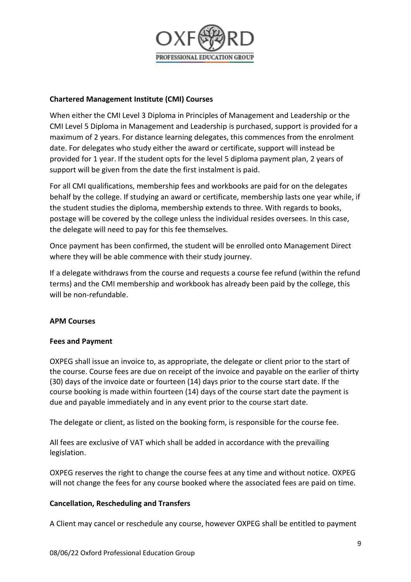

# **Chartered Management Institute (CMI) Courses**

When either the CMI Level 3 Diploma in Principles of Management and Leadership or the CMI Level 5 Diploma in Management and Leadership is purchased, support is provided for a maximum of 2 years. For distance learning delegates, this commences from the enrolment date. For delegates who study either the award or certificate, support will instead be provided for 1 year. If the student opts for the level 5 diploma payment plan, 2 years of support will be given from the date the first instalment is paid.

For all CMI qualifications, membership fees and workbooks are paid for on the delegates behalf by the college. If studying an award or certificate, membership lasts one year while, if the student studies the diploma, membership extends to three. With regards to books, postage will be covered by the college unless the individual resides oversees. In this case, the delegate will need to pay for this fee themselves.

Once payment has been confirmed, the student will be enrolled onto Management Direct where they will be able commence with their study journey.

If a delegate withdraws from the course and requests a course fee refund (within the refund terms) and the CMI membership and workbook has already been paid by the college, this will be non-refundable.

### **APM Courses**

### **Fees and Payment**

OXPEG shall issue an invoice to, as appropriate, the delegate or client prior to the start of the course. Course fees are due on receipt of the invoice and payable on the earlier of thirty (30) days of the invoice date or fourteen (14) days prior to the course start date. If the course booking is made within fourteen (14) days of the course start date the payment is due and payable immediately and in any event prior to the course start date.

The delegate or client, as listed on the booking form, is responsible for the course fee.

All fees are exclusive of VAT which shall be added in accordance with the prevailing legislation.

OXPEG reserves the right to change the course fees at any time and without notice. OXPEG will not change the fees for any course booked where the associated fees are paid on time.

### **Cancellation, Rescheduling and Transfers**

A Client may cancel or reschedule any course, however OXPEG shall be entitled to payment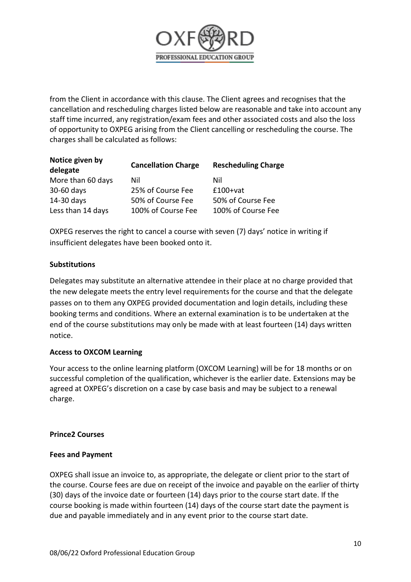

from the Client in accordance with this clause. The Client agrees and recognises that the cancellation and rescheduling charges listed below are reasonable and take into account any staff time incurred, any registration/exam fees and other associated costs and also the loss of opportunity to OXPEG arising from the Client cancelling or rescheduling the course. The charges shall be calculated as follows:

| Notice given by<br>delegate | <b>Cancellation Charge</b> | <b>Rescheduling Charge</b> |
|-----------------------------|----------------------------|----------------------------|
| More than 60 days           | Nil                        | Nil                        |
| 30-60 days                  | 25% of Course Fee          | $£100+vat$                 |
| 14-30 days                  | 50% of Course Fee          | 50% of Course Fee          |
| Less than 14 days           | 100% of Course Fee         | 100% of Course Fee         |

OXPEG reserves the right to cancel a course with seven (7) days' notice in writing if insufficient delegates have been booked onto it.

### **Substitutions**

Delegates may substitute an alternative attendee in their place at no charge provided that the new delegate meets the entry level requirements for the course and that the delegate passes on to them any OXPEG provided documentation and login details, including these booking terms and conditions. Where an external examination is to be undertaken at the end of the course substitutions may only be made with at least fourteen (14) days written notice.

### **Access to OXCOM Learning**

Your access to the online learning platform (OXCOM Learning) will be for 18 months or on successful completion of the qualification, whichever is the earlier date. Extensions may be agreed at OXPEG's discretion on a case by case basis and may be subject to a renewal charge.

#### **Prince2 Courses**

#### **Fees and Payment**

OXPEG shall issue an invoice to, as appropriate, the delegate or client prior to the start of the course. Course fees are due on receipt of the invoice and payable on the earlier of thirty (30) days of the invoice date or fourteen (14) days prior to the course start date. If the course booking is made within fourteen (14) days of the course start date the payment is due and payable immediately and in any event prior to the course start date.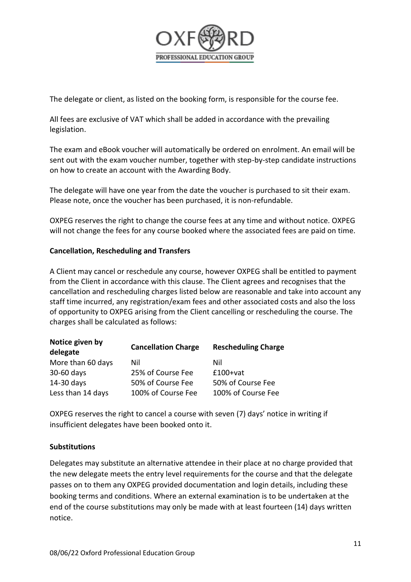

The delegate or client, as listed on the booking form, is responsible for the course fee.

All fees are exclusive of VAT which shall be added in accordance with the prevailing legislation.

The exam and eBook voucher will automatically be ordered on enrolment. An email will be sent out with the exam voucher number, together with step-by-step candidate instructions on how to create an account with the Awarding Body.

The delegate will have one year from the date the voucher is purchased to sit their exam. Please note, once the voucher has been purchased, it is non-refundable.

OXPEG reserves the right to change the course fees at any time and without notice. OXPEG will not change the fees for any course booked where the associated fees are paid on time.

# **Cancellation, Rescheduling and Transfers**

A Client may cancel or reschedule any course, however OXPEG shall be entitled to payment from the Client in accordance with this clause. The Client agrees and recognises that the cancellation and rescheduling charges listed below are reasonable and take into account any staff time incurred, any registration/exam fees and other associated costs and also the loss of opportunity to OXPEG arising from the Client cancelling or rescheduling the course. The charges shall be calculated as follows:

| <b>NOTICE GIVEN DY</b><br>delegate | <b>Cancellation Charge</b> | <b>Rescheduling Charge</b> |
|------------------------------------|----------------------------|----------------------------|
| More than 60 days                  | Nil                        | Nil                        |
| 30-60 days                         | 25% of Course Fee          | $£100+vat$                 |
| 14-30 days                         | 50% of Course Fee          | 50% of Course Fee          |
| Less than 14 days                  | 100% of Course Fee         | 100% of Course Fee         |

OXPEG reserves the right to cancel a course with seven (7) days' notice in writing if insufficient delegates have been booked onto it.

### **Substitutions**

**Notice given by** 

Delegates may substitute an alternative attendee in their place at no charge provided that the new delegate meets the entry level requirements for the course and that the delegate passes on to them any OXPEG provided documentation and login details, including these booking terms and conditions. Where an external examination is to be undertaken at the end of the course substitutions may only be made with at least fourteen (14) days written notice.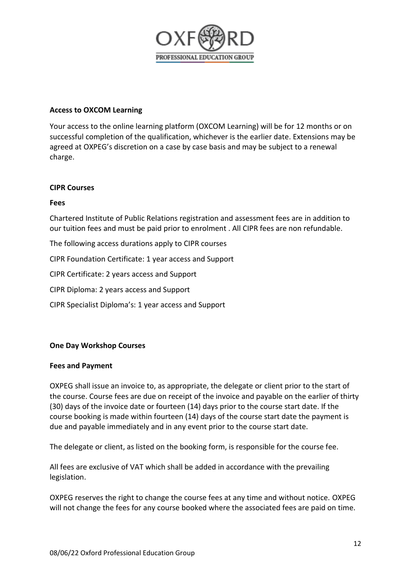

#### **Access to OXCOM Learning**

Your access to the online learning platform (OXCOM Learning) will be for 12 months or on successful completion of the qualification, whichever is the earlier date. Extensions may be agreed at OXPEG's discretion on a case by case basis and may be subject to a renewal charge.

#### **CIPR Courses**

#### **Fees**

Chartered Institute of Public Relations registration and assessment fees are in addition to our tuition fees and must be paid prior to enrolment . All CIPR fees are non refundable.

The following access durations apply to CIPR courses

CIPR Foundation Certificate: 1 year access and Support

CIPR Certificate: 2 years access and Support

CIPR Diploma: 2 years access and Support

CIPR Specialist Diploma's: 1 year access and Support

### **One Day Workshop Courses**

#### **Fees and Payment**

OXPEG shall issue an invoice to, as appropriate, the delegate or client prior to the start of the course. Course fees are due on receipt of the invoice and payable on the earlier of thirty (30) days of the invoice date or fourteen (14) days prior to the course start date. If the course booking is made within fourteen (14) days of the course start date the payment is due and payable immediately and in any event prior to the course start date.

The delegate or client, as listed on the booking form, is responsible for the course fee.

All fees are exclusive of VAT which shall be added in accordance with the prevailing legislation.

OXPEG reserves the right to change the course fees at any time and without notice. OXPEG will not change the fees for any course booked where the associated fees are paid on time.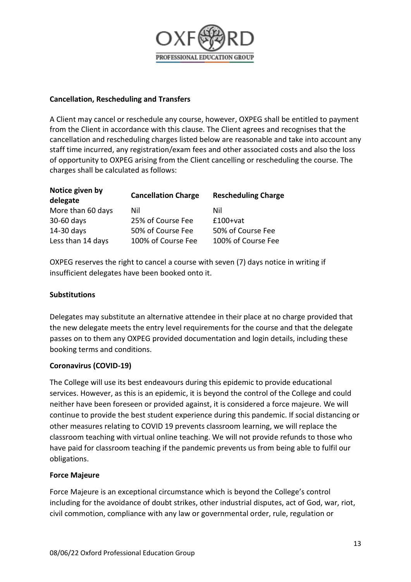

# **Cancellation, Rescheduling and Transfers**

A Client may cancel or reschedule any course, however, OXPEG shall be entitled to payment from the Client in accordance with this clause. The Client agrees and recognises that the cancellation and rescheduling charges listed below are reasonable and take into account any staff time incurred, any registration/exam fees and other associated costs and also the loss of opportunity to OXPEG arising from the Client cancelling or rescheduling the course. The charges shall be calculated as follows:

| Notice given by<br>delegate | <b>Cancellation Charge</b> | <b>Rescheduling Charge</b> |
|-----------------------------|----------------------------|----------------------------|
| More than 60 days           | Nil                        | Nil                        |
| 30-60 days                  | 25% of Course Fee          | $£100+vat$                 |
| 14-30 days                  | 50% of Course Fee          | 50% of Course Fee          |
| Less than 14 days           | 100% of Course Fee         | 100% of Course Fee         |

OXPEG reserves the right to cancel a course with seven (7) days notice in writing if insufficient delegates have been booked onto it.

# **Substitutions**

Delegates may substitute an alternative attendee in their place at no charge provided that the new delegate meets the entry level requirements for the course and that the delegate passes on to them any OXPEG provided documentation and login details, including these booking terms and conditions.

### **Coronavirus (COVID-19)**

The College will use its best endeavours during this epidemic to provide educational services. However, as this is an epidemic, it is beyond the control of the College and could neither have been foreseen or provided against, it is considered a force majeure. We will continue to provide the best student experience during this pandemic. If social distancing or other measures relating to COVID 19 prevents classroom learning, we will replace the classroom teaching with virtual online teaching. We will not provide refunds to those who have paid for classroom teaching if the pandemic prevents us from being able to fulfil our obligations.

### **Force Majeure**

Force Majeure is an exceptional circumstance which is beyond the College's control including for the avoidance of doubt strikes, other industrial disputes, act of God, war, riot, civil commotion, compliance with any law or governmental order, rule, regulation or